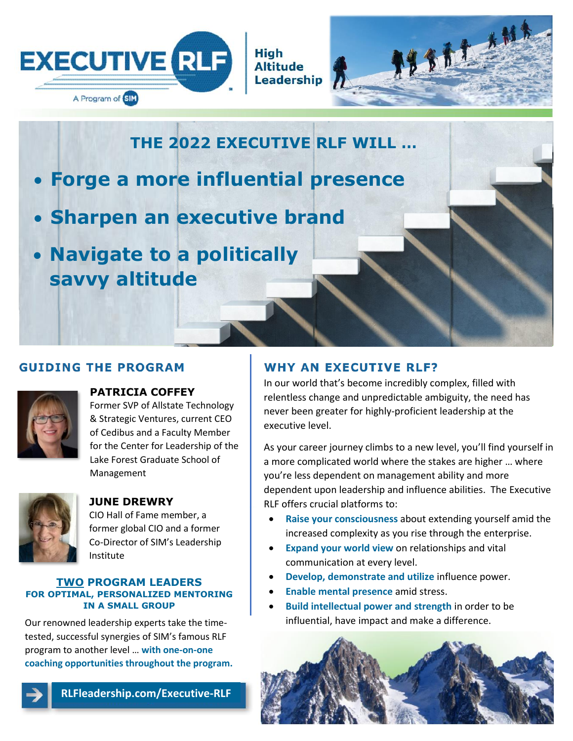

**High Altitude Leadership** 



**THE 2022 EXECUTIVE RLF WILL …**

- **Forge a more influential presence**
- **Sharpen an executive brand**
- **Navigate to a politically savvy altitude**

## **GUIDING THE PROGRAM**



## **PATRICIA COFFEY**

Former SVP of Allstate Technology & Strategic Ventures, current CEO of Cedibus and a Faculty Member for the Center for Leadership of the Lake Forest Graduate School of Management



# **JUNE DREWRY**

CIO Hall of Fame member, a former global CIO and a former Co-Director of SIM's Leadership Institute

#### **TWO PROGRAM LEADERS FOR OPTIMAL, PERSONALIZED MENTORING IN A SMALL GROUP**

Our renowned leadership experts take the timetested, successful synergies of SIM's famous RLF program to another level … **with one-on-one coaching opportunities throughout the program.**

**RLFleadership.com/Executive-RLF**

# **WHY AN EXECUTIVE RLF?**

In our world that's become incredibly complex, filled with relentless change and unpredictable ambiguity, the need has never been greater for highly-proficient leadership at the executive level.

As your career journey climbs to a new level, you'll find yourself in a more complicated world where the stakes are higher … where you're less dependent on management ability and more dependent upon leadership and influence abilities. The Executive RLF offers crucial platforms to:

- **Raise your consciousness** about extending yourself amid the increased complexity as you rise through the enterprise.
- **Expand your world view** on relationships and vital communication at every level.
- **Develop, demonstrate and utilize** influence power.
- **Enable mental presence** amid stress.
- **Build intellectual power and strength** in order to be influential, have impact and make a difference.